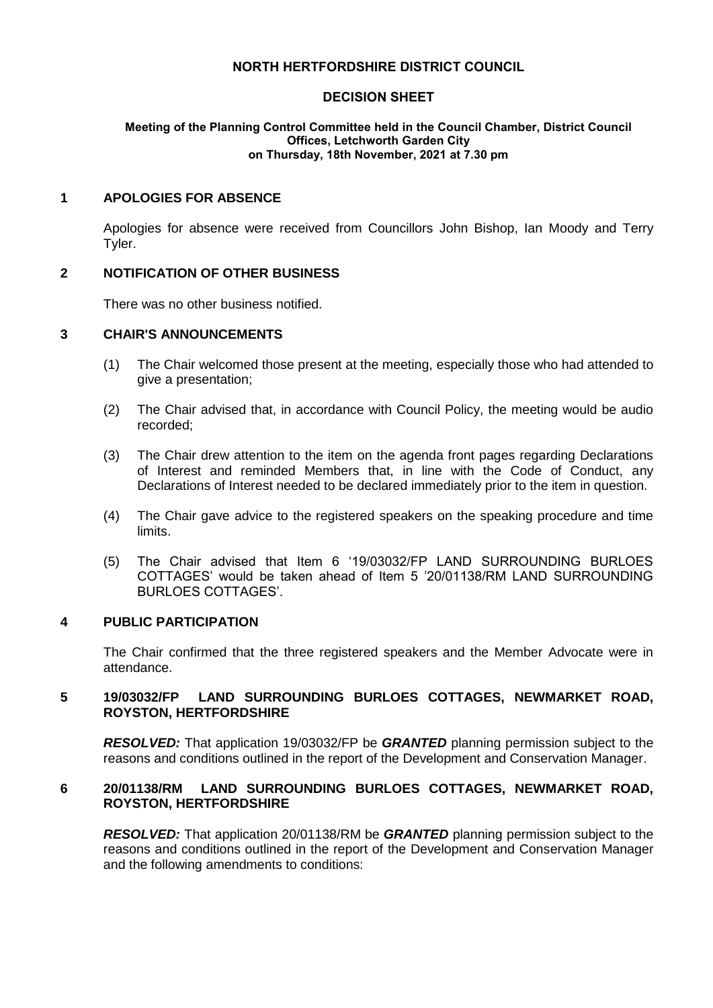# **NORTH HERTFORDSHIRE DISTRICT COUNCIL**

# **DECISION SHEET**

#### **Meeting of the Planning Control Committee held in the Council Chamber, District Council Offices, Letchworth Garden City on Thursday, 18th November, 2021 at 7.30 pm**

# **1 APOLOGIES FOR ABSENCE**

Apologies for absence were received from Councillors John Bishop, Ian Moody and Terry Tyler.

# **2 NOTIFICATION OF OTHER BUSINESS**

There was no other business notified.

# **3 CHAIR'S ANNOUNCEMENTS**

- (1) The Chair welcomed those present at the meeting, especially those who had attended to give a presentation;
- (2) The Chair advised that, in accordance with Council Policy, the meeting would be audio recorded;
- (3) The Chair drew attention to the item on the agenda front pages regarding Declarations of Interest and reminded Members that, in line with the Code of Conduct, any Declarations of Interest needed to be declared immediately prior to the item in question.
- (4) The Chair gave advice to the registered speakers on the speaking procedure and time limits.
- (5) The Chair advised that Item 6 '19/03032/FP LAND SURROUNDING BURLOES COTTAGES' would be taken ahead of Item 5 '20/01138/RM LAND SURROUNDING BURLOES COTTAGES'.

#### **4 PUBLIC PARTICIPATION**

The Chair confirmed that the three registered speakers and the Member Advocate were in attendance.

# **5 19/03032/FP LAND SURROUNDING BURLOES COTTAGES, NEWMARKET ROAD, ROYSTON, HERTFORDSHIRE**

*RESOLVED:* That application 19/03032/FP be *GRANTED* planning permission subject to the reasons and conditions outlined in the report of the Development and Conservation Manager.

# **6 20/01138/RM LAND SURROUNDING BURLOES COTTAGES, NEWMARKET ROAD, ROYSTON, HERTFORDSHIRE**

*RESOLVED:* That application 20/01138/RM be *GRANTED* planning permission subject to the reasons and conditions outlined in the report of the Development and Conservation Manager and the following amendments to conditions: